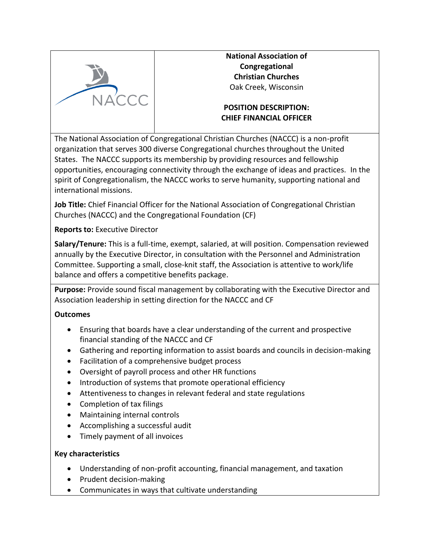

**National Association of Congregational Christian Churches** Oak Creek, Wisconsin

# **POSITION DESCRIPTION: CHIEF FINANCIAL OFFICER**

The National Association of Congregational Christian Churches (NACCC) is a non-profit organization that serves 300 diverse Congregational churches throughout the United States. The NACCC supports its membership by providing resources and fellowship opportunities, encouraging connectivity through the exchange of ideas and practices. In the spirit of Congregationalism, the NACCC works to serve humanity, supporting national and international missions.

**Job Title:** Chief Financial Officer for the National Association of Congregational Christian Churches (NACCC) and the Congregational Foundation (CF)

**Reports to:** Executive Director

**Salary/Tenure:** This is a full-time, exempt, salaried, at will position. Compensation reviewed annually by the Executive Director, in consultation with the Personnel and Administration Committee. Supporting a small, close-knit staff, the Association is attentive to work/life balance and offers a competitive benefits package.

**Purpose:** Provide sound fiscal management by collaborating with the Executive Director and Association leadership in setting direction for the NACCC and CF

## **Outcomes**

- Ensuring that boards have a clear understanding of the current and prospective financial standing of the NACCC and CF
- Gathering and reporting information to assist boards and councils in decision-making
- Facilitation of a comprehensive budget process
- Oversight of payroll process and other HR functions
- Introduction of systems that promote operational efficiency
- Attentiveness to changes in relevant federal and state regulations
- Completion of tax filings
- Maintaining internal controls
- Accomplishing a successful audit
- Timely payment of all invoices

## **Key characteristics**

- Understanding of non-profit accounting, financial management, and taxation
- Prudent decision-making
- Communicates in ways that cultivate understanding